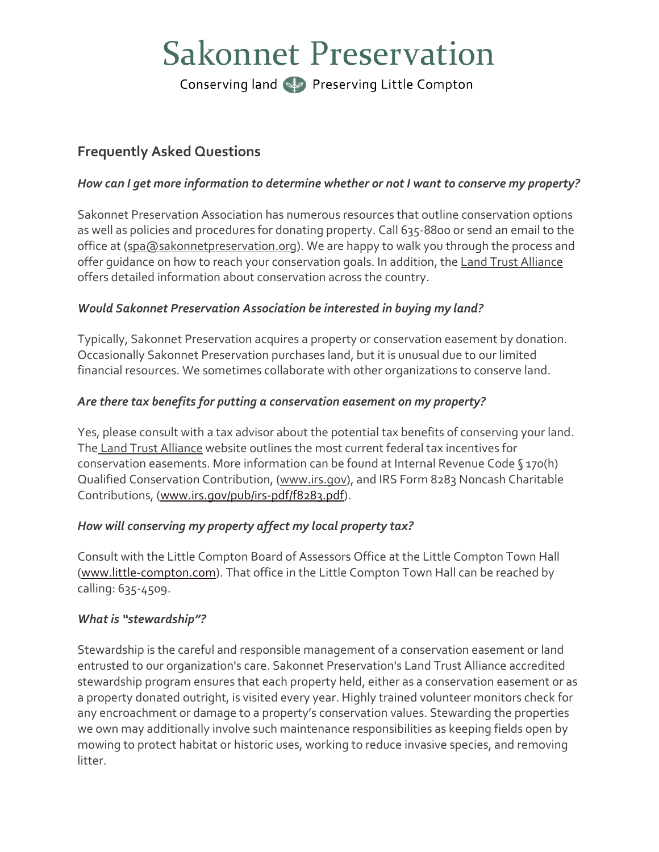# **Sakonnet Preservation**

Conserving land See Preserving Little Compton

# **Frequently Asked Questions**

#### *How can I get more information to determine whether or not I want to conserve my property?*

Sakonnet Preservation Association has numerous resources that outline conservation options as well as policies and procedures for donating property. Call 635-8800 or send an email to the office at [\(spa@sakonnetpreservation.org\)](mailto:spa@sakonnetpreservation.org). We are happy to walk you through the process and offer guidance on how to reach your conservation goals. In addition, the [Land Trust Alliance](https://www.landtrustalliance.org/) offers detailed information about conservation across the country.

## *Would Sakonnet Preservation Association be interested in buying my land?*

Typically, Sakonnet Preservation acquires a property or conservation easement by donation. Occasionally Sakonnet Preservation purchases land, but it is unusual due to our limited financial resources. We sometimes collaborate with other organizations to conserve land.

## *Are there tax benefits for putting a conservation easement on my property?*

Yes, please consult with a tax advisor about the potential tax benefits of conserving your land. The [Land Trust Alliance](http://www.landtrustalliance.org/) website outlines the most current federal tax incentives for conservation easements. More information can be found at Internal Revenue Code § 170(h) Qualified Conservation Contribution, [\(www.irs.gov\)](http://www.irs.gov/), and IRS Form 8283 Noncash Charitable Contributions, [\(www.irs.gov/pub/irs-pdf/f8283.pdf\)](http://www.irs.gov/pub/irs-pdf/f8283.pdf).

# *How will conserving my property affect my local property tax?*

Consult with the Little Compton Board of Assessors Office at the Little Compton Town Hall [\(www.little-compton.com\)](http://www.little-compton.com/). That office in the Little Compton Town Hall can be reached by calling: 635-4509.

#### *What is "stewardship"?*

Stewardship is the careful and responsible management of a conservation easement or land entrusted to our organization's care. Sakonnet Preservation's Land Trust Alliance accredited stewardship program ensures that each property held, either as a conservation easement or as a property donated outright, is visited every year. Highly trained volunteer monitors check for any encroachment or damage to a property's conservation values. Stewarding the properties we own may additionally involve such maintenance responsibilities as keeping fields open by mowing to protect habitat or historic uses, working to reduce invasive species, and removing litter.